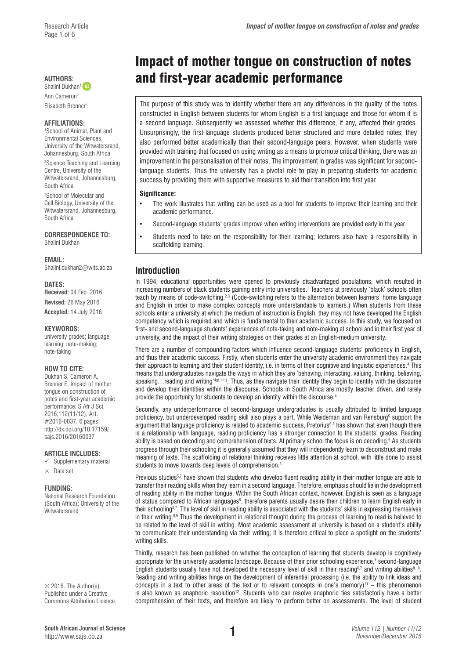Ann Cameron2 Elisabeth Brenner3

#### **AFFILIATIONS:**

1 School of Animal, Plant and Environmental Sciences, University of the Witwatersrand, Johannesburg, South Africa

2 Science Teaching and Learning Centre, University of the Witwatersrand, Johannesburg, South Africa

3 School of Molecular and Cell Biology, University of the Witwatersrand, Johannesburg, South Africa

**CORRESPONDENCE TO:**  Shalini Dukhan

**EMAIL:**  [Shalini.dukhan2@wits.ac.za](mailto:Shalini.dukhan2@wits.ac.za)

# **DATES:**

**Received:** 04 Feb. 2016 **Revised:** 26 May 2016 **Accepted:** 14 July 2016

#### **KEYWORDS:**

university grades; language; learning; note-making; note-taking

#### **HOW TO CITE:**

Dukhan S, Cameron A, Brenner E. Impact of mother tongue on construction of notes and first-year academic performance. S Afr J Sci. 2016;112(11/12), Art. #2016-0037, 6 pages. [http://dx.doi.org/10.17159/](http://dx.doi.org/10.17159/sajs.2016/20160037) [sajs.2016/20160037](http://dx.doi.org/10.17159/sajs.2016/20160037)

#### **ARTICLE INCLUDES:**

 $\checkmark$  Supplementary material

 $\times$  Data set

# **FUNDING:**

National Research Foundation (South Africa); University of the **Witwatersrand** 

© 2016. The Author(s). Published under a Creative Commons Attribution Licence.

# Impact of mother tongue on construction of notes AUTHORS: **and first-year academic performance** Shalini Dukhan<sup>1</sup>

The purpose of this study was to identify whether there are any differences in the quality of the notes constructed in English between students for whom English is a first language and those for whom it is a second language. Subsequently we assessed whether this difference, if any, affected their grades. Unsurprisingly, the first-language students produced better structured and more detailed notes; they also performed better academically than their second-language peers. However, when students were provided with training that focused on using writing as a means to promote critical thinking, there was an improvement in the personalisation of their notes. The improvement in grades was significant for secondlanguage students. Thus the university has a pivotal role to play in preparing students for academic success by providing them with supportive measures to aid their transition into first year.

#### **Significance:**

- The work illustrates that writing can be used as a tool for students to improve their learning and their academic performance.
- Second-language students' grades improve when writing interventions are provided early in the year.
- Students need to take on the responsibility for their learning; lecturers also have a responsibility in scaffolding learning.

# **Introduction**

In 1994, educational opportunities were opened to previously disadvantaged populations, which resulted in increasing numbers of black students gaining entry into universities.1 Teachers at previously 'black' schools often teach by means of code-switching.<sup>2,3</sup> (Code-switching refers to the alternation between learners' home language and English in order to make complex concepts more understandable to learners.) When students from these schools enter a university at which the medium of instruction is English, they may not have developed the English competency which is required and which is fundamental to their academic success. In this study, we focused on first- and second-language students' experiences of note-taking and note-making at school and in their first year of university, and the impact of their writing strategies on their grades at an English-medium university.

There are a number of compounding factors which influence second-language students' proficiency in English, and thus their academic success. Firstly, when students enter the university academic environment they navigate their approach to learning and their student identity, i.e. in terms of their cognitive and linguistic experiences.4 This means that undergraduates navigate the ways in which they are 'behaving, interacting, valuing, thinking, believing, speaking...reading and writing<sup>'4(p.111)</sup>. Thus, as they navigate their identity they begin to identify with the discourse and develop their identities within the discourse. Schools in South Africa are mostly teacher driven, and rarely provide the opportunity for students to develop an identity within the discourse.<sup>4</sup>

Secondly, any underperformance of second-language undergraduates is usually attributed to limited language proficiency, but underdeveloped reading skill also plays a part. While Weideman and van Rensburg<sup>5</sup> support the argument that language proficiency is related to academic success, Pretorius<sup>6-8</sup> has shown that even though there is a relationship with language, reading proficiency has a stronger connection to the students' grades. Reading ability is based on decoding and comprehension of texts. At primary school the focus is on decoding.<sup>6</sup> As students progress through their schooling it is generally assumed that they will independently learn to deconstruct and make meaning of texts. The scaffolding of relational thinking receives little attention at school, with little done to assist students to move towards deep levels of comprehension.<sup>6</sup>

Previous studies<sup>5,7</sup> have shown that students who develop fluent reading ability in their mother tonque are able to transfer their reading skills when they learn in a second language. Therefore, emphasis should lie in the development of reading ability in the mother tongue. Within the South African context, however, English is seen as a language of status compared to African languages<sup>5</sup>, therefore parents usually desire their children to learn English early in their schooling<sup>3,7</sup>. The level of skill in reading ability is associated with the students' skills in expressing themselves in their writing.<sup>8,9</sup> Thus the development in relational thought during the process of learning to read is believed to be related to the level of skill in writing. Most academic assessment at university is based on a student's ability to communicate their understanding via their writing; it is therefore critical to place a spotlight on the students' writing skills.

Thirdly, research has been published on whether the conception of learning that students develop is cognitively appropriate for the university academic landscape. Because of their prior schooling experience,<sup>5</sup> second-language English students usually have not developed the necessary level of skill in their reading<sup>6,7</sup> and writing abilities<sup>8,10</sup>. Reading and writing abilities hinge on the development of inferential processing (i.e. the ability to link ideas and concepts in a text to other areas of the text or to relevant concepts in one's memory)<sup>11</sup> – this phenomenon is also known as anaphoric resolution<sup>12</sup>. Students who can resolve anaphoric ties satisfactorily have a better comprehension of their texts, and therefore are likely to perform better on assessments. The level of student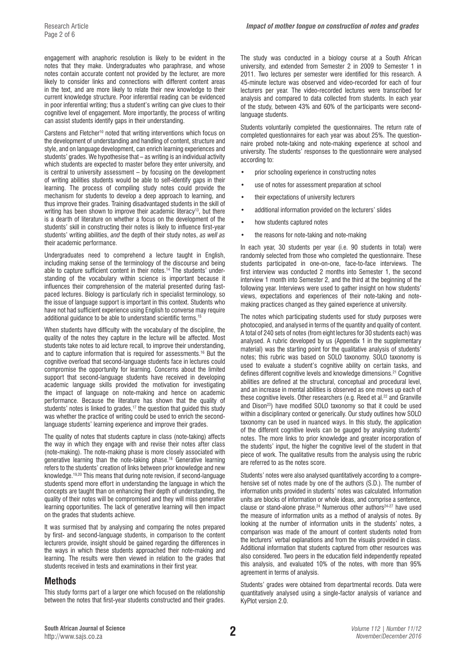engagement with anaphoric resolution is likely to be evident in the notes that they make. Undergraduates who paraphrase, and whose notes contain accurate content not provided by the lecturer, are more likely to consider links and connections with different content areas in the text, and are more likely to relate their new knowledge to their current knowledge structure. Poor inferential reading can be evidenced in poor inferential writing; thus a student's writing can give clues to their cognitive level of engagement. More importantly, the process of writing can assist students identify gaps in their understanding.

Carstens and Fletcher<sup>10</sup> noted that writing interventions which focus on the development of understanding and handling of content, structure and style, and on language development, can enrich learning experiences and students' grades. We hypothesise that – as writing is an individual activity which students are expected to master before they enter university, and is central to university assessment – by focusing on the development of writing abilities students would be able to self-identify gaps in their learning. The process of compiling study notes could provide the mechanism for students to develop a deep approach to learning, and thus improve their grades. Training disadvantaged students in the skill of writing has been shown to improve their academic literacy<sup>13</sup>, but there is a dearth of literature on whether a focus on the development of the students' skill in constructing their notes is likely to influence first-year students' writing abilities, *and* the depth of their study notes, *as well as*  their academic performance.

Undergraduates need to comprehend a lecture taught in English, including making sense of the terminology of the discourse and being able to capture sufficient content in their notes.<sup>14</sup> The students' understanding of the vocabulary within science is important because it influences their comprehension of the material presented during fastpaced lectures. Biology is particularly rich in specialist terminology, so the issue of language support is important in this context. Students who have not had sufficient experience using English to converse may require additional guidance to be able to understand scientific terms.15

When students have difficulty with the vocabulary of the discipline, the quality of the notes they capture in the lecture will be affected. Most students take notes to aid lecture recall, to improve their understanding, and to capture information that is required for assessments.16 But the cognitive overload that second-language students face in lectures could compromise the opportunity for learning. Concerns about the limited support that second-language students have received in developing academic language skills provided the motivation for investigating the impact of language on note-making and hence on academic performance. Because the literature has shown that the quality of students' notes is linked to grades,<sup>17</sup> the question that guided this study was whether the practice of writing could be used to enrich the secondlanguage students' learning experience and improve their grades.

The quality of notes that students capture in class (note-taking) affects the way in which they engage with and revise their notes after class (note-making). The note-making phase is more closely associated with generative learning than the note-taking phase.18 Generative learning refers to the students' creation of links between prior knowledge and new knowledge.19,20 This means that during note revision, if second-language students spend more effort in understanding the language in which the concepts are taught than on enhancing their depth of understanding, the quality of their notes will be compromised and they will miss generative learning opportunities. The lack of generative learning will then impact on the grades that students achieve.

It was surmised that by analysing and comparing the notes prepared by first- and second-language students, in comparison to the content lecturers provide, insight should be gained regarding the differences in the ways in which these students approached their note-making and learning. The results were then viewed in relation to the grades that students received in tests and examinations in their first year.

# **Methods**

This study forms part of a larger one which focused on the relationship between the notes that first-year students constructed and their grades.

The study was conducted in a biology course at a South African university, and extended from Semester 2 in 2009 to Semester 1 in 2011. Two lectures per semester were identified for this research. A 45-minute lecture was observed and video-recorded for each of four lecturers per year. The video-recorded lectures were transcribed for analysis and compared to data collected from students. In each year of the study, between 43% and 60% of the participants were secondlanguage students.

Students voluntarily completed the questionnaires. The return rate of completed questionnaires for each year was about 25%. The questionnaire probed note-taking and note-making experience at school and university. The students' responses to the questionnaire were analysed according to:

- prior schooling experience in constructing notes
- use of notes for assessment preparation at school
- their expectations of university lecturers
- additional information provided on the lecturers' slides
- how students captured notes
- the reasons for note-taking and note-making

In each year, 30 students per year (i.e. 90 students in total) were randomly selected from those who completed the questionnaire. These students participated in one-on-one, face-to-face interviews. The first interview was conducted 2 months into Semester 1, the second interview 1 month into Semester 2, and the third at the beginning of the following year. Interviews were used to gather insight on how students' views, expectations and experiences of their note-taking and notemaking practices changed as they gained experience at university.

The notes which participating students used for study purposes were photocopied, and analysed in terms of the quantity and quality of content. A total of 240 sets of notes (from eight lectures for 30 students each) was analysed. A rubric developed by us (Appendix 1 in the supplementary material) was the starting point for the qualitative analysis of students' notes; this rubric was based on SOLO taxonomy. SOLO taxonomy is used to evaluate a student's cognitive ability on certain tasks, and defines different cognitive levels and knowledge dimensions.21 Cognitive abilities are defined at the structural, conceptual and procedural level, and an increase in mental abilities is observed as one moves up each of these cognitive levels. Other researchers (e.g. Reed et al.<sup>22</sup> and Granville and Dison<sup>23</sup>) have modified SOLO taxonomy so that it could be used within a disciplinary context or generically. Our study outlines how SOLO taxonomy can be used in nuanced ways. In this study, the application of the different cognitive levels can be gauged by analysing students' notes. The more links to prior knowledge and greater incorporation of the students' input, the higher the cognitive level of the student in that piece of work. The qualitative results from the analysis using the rubric are referred to as the notes score.

Students' notes were also analysed quantitatively according to a comprehensive set of notes made by one of the authors (S.D.). The number of information units provided in students' notes was calculated. Information units are blocks of information or whole ideas, and comprise a sentence, clause or stand-alone phrase.<sup>24</sup> Numerous other authors<sup>24-27</sup> have used the measure of information units as a method of analysis of notes. By looking at the number of information units in the students' notes, a comparison was made of the amount of content students noted from the lecturers' verbal explanations and from the visuals provided in class. Additional information that students captured from other resources was also considered. Two peers in the education field independently repeated this analysis, and evaluated 10% of the notes, with more than 95% agreement in terms of analysis.

Students' grades were obtained from departmental records. Data were quantitatively analysed using a single-factor analysis of variance and KyPlot version 2.0.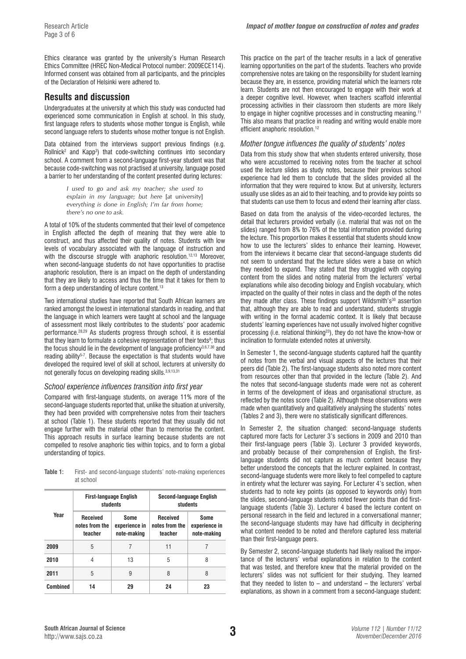Ethics clearance was granted by the university's Human Research Ethics Committee (HREC Non-Medical Protocol number: 2009ECE114). Informed consent was obtained from all participants, and the principles of the Declaration of Helsinki were adhered to.

#### **Results and discussion**

Undergraduates at the university at which this study was conducted had experienced some communication in English at school. In this study, first language refers to students whose mother tongue is English, while second language refers to students whose mother tongue is not English.

Data obtained from the interviews support previous findings (e.g. Rollnick<sup>2</sup> and Kapp<sup>3</sup>) that code-switching continues into secondary school. A comment from a second-language first-year student was that because code-switching was not practised at university, language posed a barrier to her understanding of the content presented during lectures:

> *I used to go and ask my teacher; she used to explain in my language; but here* [at university] *everything is done in English; I'm far from home; there's no one to ask.*

A total of 10% of the students commented that their level of competence in English affected the depth of meaning that they were able to construct, and thus affected their quality of notes. Students with low levels of vocabulary associated with the language of instruction and with the discourse struggle with anaphoric resolution.<sup>12,13</sup> Moreover, when second-language students do not have opportunities to practise anaphoric resolution, there is an impact on the depth of understanding that they are likely to access and thus the time that it takes for them to form a deep understanding of lecture content.<sup>13</sup>

Two international studies have reported that South African learners are ranked amongst the lowest in international standards in reading, and that the language in which learners were taught at school and the language of assessment most likely contributes to the students' poor academic performance.28,29 As students progress through school, it is essential that they learn to formulate a cohesive representation of their texts<sup>8</sup>; thus the focus should lie in the development of language proficiency<sup>3,6,7,30</sup> and reading ability5-7. Because the expectation is that students would have developed the required level of skill at school, lecturers at university do not generally focus on developing reading skills.3,9,13,31

#### *School experience influences transition into first year*

Compared with first-language students, on average 11% more of the second-language students reported that, unlike the situation at university, they had been provided with comprehensive notes from their teachers at school (Table 1). These students reported that they usually did not engage further with the material other than to memorise the content. This approach results in surface learning because students are not compelled to resolve anaphoric ties within topics, and to form a global understanding of topics.

| Table 1: | First- and second-language students' note-making experiences |
|----------|--------------------------------------------------------------|
|          | at school                                                    |

|                 | students                                     | <b>First-language English</b>        | Second-language English<br>students          |                                      |  |  |  |  |
|-----------------|----------------------------------------------|--------------------------------------|----------------------------------------------|--------------------------------------|--|--|--|--|
| Year            | <b>Received</b><br>notes from the<br>teacher | Some<br>experience in<br>note-making | <b>Received</b><br>notes from the<br>teacher | Some<br>experience in<br>note-making |  |  |  |  |
| 2009            | 5                                            |                                      | 11                                           |                                      |  |  |  |  |
| 2010            | 4                                            | 13                                   | 5                                            | 8                                    |  |  |  |  |
| 2011            | 5                                            | 9                                    | 8                                            | 8                                    |  |  |  |  |
| <b>Combined</b> | 14                                           | 29                                   | 24                                           | 23                                   |  |  |  |  |

This practice on the part of the teacher results in a lack of generative learning opportunities on the part of the students. Teachers who provide comprehensive notes are taking on the responsibility for student learning because they are, in essence, providing material which the learners rote learn. Students are not then encouraged to engage with their work at a deeper cognitive level. However, when teachers scaffold inferential processing activities in their classroom then students are more likely to engage in higher cognitive processes and in constructing meaning.11 This also means that practice in reading and writing would enable more efficient anaphoric resolution.<sup>12</sup>

#### *Mother tongue influences the quality of students' notes*

Data from this study show that when students entered university, those who were accustomed to receiving notes from the teacher at school used the lecture slides as study notes, because their previous school experience had led them to conclude that the slides provided all the information that they were required to know. But at university, lecturers usually use slides as an aid to their teaching, and to provide key points so that students can use them to focus and extend their learning after class.

Based on data from the analysis of the video-recorded lectures, the detail that lecturers provided verbally (i.e. material that was not on the slides) ranged from 8% to 76% of the total information provided during the lecture. This proportion makes it essential that students should know how to use the lecturers' slides to enhance their learning. However, from the interviews it became clear that second-language students did not seem to understand that the lecture slides were a base on which they needed to expand. They stated that they struggled with copying content from the slides and noting material from the lecturers' verbal explanations while also decoding biology and English vocabulary, which impacted on the quality of their notes in class and the depth of the notes they made after class. These findings support Wildsmith's<sup>30</sup> assertion that, although they are able to read and understand, students struggle with writing in the formal academic context. It is likely that because students' learning experiences have not usually involved higher cognitive processing (i.e. relational thinking<sup>23</sup>), they do not have the know-how or inclination to formulate extended notes at university.

In Semester 1, the second-language students captured half the quantity of notes from the verbal and visual aspects of the lectures that their peers did (Table 2). The first-language students also noted more content from resources other than that provided in the lecture (Table 2). And the notes that second-language students made were not as coherent in terms of the development of ideas and organisational structure, as reflected by the notes score (Table 2). Although these observations were made when quantitatively and qualitatively analysing the students' notes (Tables 2 and 3), there were no statistically significant differences.

In Semester 2, the situation changed: second-language students captured more facts for Lecturer 3's sections in 2009 and 2010 than their first-language peers (Table 3). Lecturer 3 provided keywords, and probably because of their comprehension of English, the firstlanguage students did not capture as much content because they better understood the concepts that the lecturer explained. In contrast, second-language students were more likely to feel compelled to capture in entirety what the lecturer was saying. For Lecturer 4's section, when students had to note key points (as opposed to keywords only) from the slides, second-language students noted fewer points than did firstlanguage students (Table 3). Lecturer 4 based the lecture content on personal research in the field and lectured in a conversational manner; the second-language students may have had difficulty in deciphering what content needed to be noted and therefore captured less material than their first-language peers.

By Semester 2, second-language students had likely realised the importance of the lecturers' verbal explanations in relation to the content that was tested, and therefore knew that the material provided on the lecturers' slides was not sufficient for their studying. They learned that they needed to listen to  $-$  and understand  $-$  the lecturers' verbal explanations, as shown in a comment from a second-language student: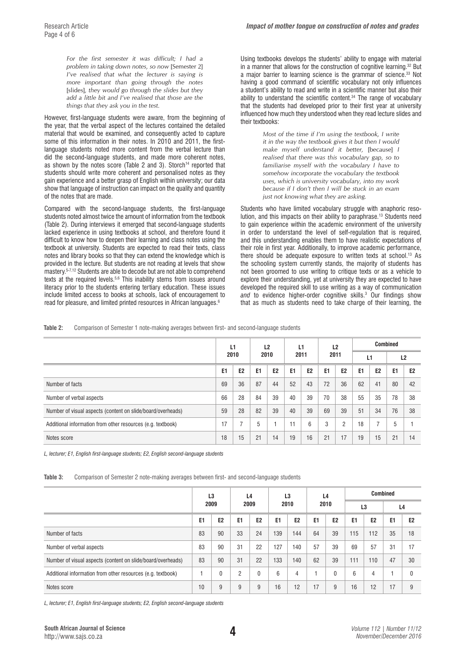*For the first semester it was difficult; I had a problem in taking down notes, so now* [Semester 2] *I've realised that what the lecturer is saying is more important than going through the notes*  [slides]*, they would go through the slides but they add a little bit and I've realised that those are the things that they ask you in the test.* 

However, first-language students were aware, from the beginning of the year, that the verbal aspect of the lectures contained the detailed material that would be examined, and consequently acted to capture some of this information in their notes. In 2010 and 2011, the firstlanguage students noted more content from the verbal lecture than did the second-language students, and made more coherent notes, as shown by the notes score (Table 2 and 3). Storch<sup>14</sup> reported that students should write more coherent and personalised notes as they gain experience and a better grasp of English within university; our data show that language of instruction can impact on the quality and quantity of the notes that are made.

Compared with the second-language students, the first-language students noted almost twice the amount of information from the textbook (Table 2). During interviews it emerged that second-language students lacked experience in using textbooks at school, and therefore found it difficult to know how to deepen their learning and class notes using the textbook at university. Students are expected to read their texts, class notes and library books so that they can extend the knowledge which is provided in the lecture. But students are not reading at levels that show mastery.5-7,12 Students are able to decode but are not able to comprehend texts at the required levels.5,6 This inability stems from issues around literacy prior to the students entering tertiary education. These issues include limited access to books at schools, lack of encouragement to read for pleasure, and limited printed resources in African languages.6

Using textbooks develops the students' ability to engage with material in a manner that allows for the construction of cognitive learning.32 But a major barrier to learning science is the grammar of science.<sup>33</sup> Not having a good command of scientific vocabulary not only influences a student's ability to read and write in a scientific manner but also their ability to understand the scientific content.<sup>34</sup> The range of vocabulary that the students had developed prior to their first year at university influenced how much they understood when they read lecture slides and their textbooks:

> *Most of the time if I'm using the textbook, I write it in the way the textbook gives it but then I would make myself understand it better,* [because] *I realised that there was this vocabulary gap, so to familiarise myself with the vocabulary I have to somehow incorporate the vocabulary the textbook uses, which is university vocabulary, into my work because if I don't then I will be stuck in an exam just not knowing what they are asking.*

Students who have limited vocabulary struggle with anaphoric resolution, and this impacts on their ability to paraphrase.<sup>13</sup> Students need to gain experience within the academic environment of the university in order to understand the level of self-regulation that is required, and this understanding enables them to have realistic expectations of their role in first year. Additionally, to improve academic performance, there should be adequate exposure to written texts at school.13 As the schooling system currently stands, the majority of students has not been groomed to use writing to critique texts or as a vehicle to explore their understanding, yet at university they are expected to have developed the required skill to use writing as a way of communication *and* to evidence higher-order cognitive skills.3 Our findings show that as much as students need to take charge of their learning, the

**Table 2:** Comparison of Semester 1 note-making averages between first- and second-language students

|                                                             | L1<br>2010           |    |                | L <sub>2</sub> | L1   |                | L <sub>2</sub> |                | <b>Combined</b> |                |                |                |
|-------------------------------------------------------------|----------------------|----|----------------|----------------|------|----------------|----------------|----------------|-----------------|----------------|----------------|----------------|
|                                                             |                      |    | 2010           |                | 2011 |                | 2011           |                | L1              |                | L <sub>2</sub> |                |
|                                                             | E <sub>2</sub><br>E1 |    | E <sub>1</sub> | E <sub>2</sub> | E1   | E <sub>2</sub> | E1             | E <sub>2</sub> | E1              | E <sub>2</sub> | E1             | E <sub>2</sub> |
| Number of facts                                             | 69                   | 36 | 87             | 44             | 52   | 43             | 72             | 36             | 62              | 41             | 80             | 42             |
| Number of verbal aspects                                    | 66                   | 28 | 84             | 39             | 40   | 39             | 70             | 38             | 55              | 35             | 78             | 38             |
| Number of visual aspects (content on slide/board/overheads) | 59                   | 28 | 82             | 39             | 40   | 39             | 69             | 39             | 51              | 34             | 76             | 38             |
| Additional information from other resources (e.g. textbook) | 17                   | ⇁  | 5              |                | 11   | 6              | 3              | $\overline{2}$ | 18              | $\overline{ }$ | 5              |                |
| Notes score                                                 | 18                   | 15 | 21             | 14             | 19   | 16             | 21             | 17             | 19              | 15             | 21             | 14             |

*L, lecturer; E1, English first-language students; E2, English second-language students*

**Table 3:** Comparison of Semester 2 note-making averages between first- and second-language students

|                                                             |                | L <sub>3</sub> |                      | L <sub>4</sub> | L3             |                | L <sub>4</sub> |                | <b>Combined</b> |                |    |                |  |
|-------------------------------------------------------------|----------------|----------------|----------------------|----------------|----------------|----------------|----------------|----------------|-----------------|----------------|----|----------------|--|
|                                                             | 2009           |                | 2009                 |                | 2010           |                | 2010           |                | L3              |                | L4 |                |  |
|                                                             | E <sub>1</sub> | E <sub>2</sub> | E <sub>2</sub><br>E1 |                | E <sub>1</sub> | E <sub>2</sub> | E1             | E <sub>2</sub> | E1              | E <sub>2</sub> | E1 | E <sub>2</sub> |  |
| Number of facts                                             | 83             | 90             | 33                   | 24             | 139            | 144            | 64             | 39             | 115             | 112            | 35 | 18             |  |
| Number of verbal aspects                                    | 83             | 90             | 31                   | 22             | 127            | 140            | 57             | 39             | 69              | 57             | 31 | 17             |  |
| Number of visual aspects (content on slide/board/overheads) | 83             | 90             | 31                   | 22             | 133            | 140            | 62             | 39             | 111             | 110            | 47 | 30             |  |
| Additional information from other resources (e.g. textbook) |                | 0              | 2                    | 0              | 6              | 4              |                | 0              | 6               | $\overline{4}$ |    | 0              |  |
| Notes score                                                 |                | 9              | 9                    | 9              | 16             | 12             | 17             | 9              | 16              | 12             | 17 | 9              |  |

*L, lecturer; E1, English first-language students; E2, English second-language students*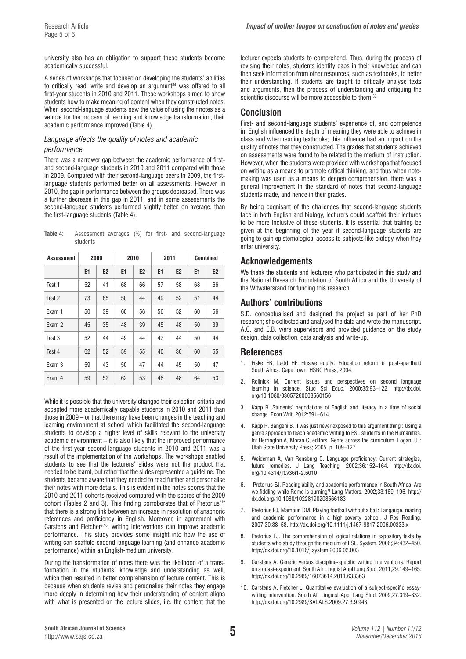university also has an obligation to support these students become academically successful.

A series of workshops that focused on developing the students' abilities to critically read, write and develop an argument $34$  was offered to all first-year students in 2010 and 2011. These workshops aimed to show students how to make meaning of content when they constructed notes. When second-language students saw the value of using their notes as a vehicle for the process of learning and knowledge transformation, their academic performance improved (Table 4).

#### *Language affects the quality of notes and academic performance*

There was a narrower gap between the academic performance of firstand second-language students in 2010 and 2011 compared with those in 2009. Compared with their second-language peers in 2009, the firstlanguage students performed better on all assessments. However, in 2010, the gap in performance between the groups decreased. There was a further decrease in this gap in 2011, and in some assessments the second-language students performed slightly better, on average, than the first-language students (Table 4).

| Table 4: |          |  |  | Assessment averages (%) for first- and second-language |
|----------|----------|--|--|--------------------------------------------------------|
|          | students |  |  |                                                        |

| Assessment | 2009 |                | 2010 |                | 2011 |                | <b>Combined</b> |                |  |
|------------|------|----------------|------|----------------|------|----------------|-----------------|----------------|--|
|            | E1   | E <sub>2</sub> | E1   | E <sub>2</sub> | E1   | E <sub>2</sub> | E1              | E <sub>2</sub> |  |
| Test 1     | 52   | 41             | 68   | 66             | 57   | 58             | 68              | 66             |  |
| Test 2     | 73   | 65             | 50   | 44             | 49   | 52             | 51              | 44             |  |
| Exam 1     | 50   | 39             | 60   | 56             | 56   | 52             | 60              | 56             |  |
| Exam 2     | 45   | 35             | 48   | 39             | 45   | 48             | 50              | 39             |  |
| Test 3     | 52   | 44             | 49   | 44             | 47   | 44             | 50              | 44             |  |
| Test 4     | 62   | 52             | 59   | 55             | 40   | 36             | 60              | 55             |  |
| Exam 3     | 59   | 43             | 50   | 47             | 44   | 45             | 50              | 47             |  |
| Exam 4     | 59   | 52             | 62   | 53             | 48   | 48             | 64              | 53             |  |

While it is possible that the university changed their selection criteria and accepted more academically capable students in 2010 and 2011 than those in 2009 – or that there may have been changes in the teaching and learning environment at school which facilitated the second-language students to develop a higher level of skills relevant to the university academic environment – it is also likely that the improved performance of the first-year second-language students in 2010 and 2011 was a result of the implementation of the workshops. The workshops enabled students to see that the lecturers' slides were not the product that needed to be learnt, but rather that the slides represented a guideline. The students became aware that they needed to read further and personalise their notes with more details. This is evident in the notes scores that the 2010 and 2011 cohorts received compared with the scores of the 2009 cohort (Tables 2 and 3). This finding corroborates that of Pretorius'12 that there is a strong link between an increase in resolution of anaphoric references and proficiency in English. Moreover, in agreement with Carstens and Fletcher9,10, writing interventions can improve academic performance. This study provides some insight into how the use of writing can scaffold second-language learning (and enhance academic performance) within an English-medium university.

During the transformation of notes there was the likelihood of a transformation in the students' knowledge and understanding as well, which then resulted in better comprehension of lecture content. This is because when students revise and personalise their notes they engage more deeply in determining how their understanding of content aligns with what is presented on the lecture slides, i.e. the content that the

lecturer expects students to comprehend. Thus, during the process of revising their notes, students identify gaps in their knowledge and can then seek information from other resources, such as textbooks, to better their understanding. If students are taught to critically analyse texts and arguments, then the process of understanding and critiquing the scientific discourse will be more accessible to them.<sup>33</sup>

# **Conclusion**

First- and second-language students' experience of, and competence in, English influenced the depth of meaning they were able to achieve in class and when reading textbooks; this influence had an impact on the quality of notes that they constructed. The grades that students achieved on assessments were found to be related to the medium of instruction. However, when the students were provided with workshops that focused on writing as a means to promote critical thinking, and thus when notemaking was used as a means to deepen comprehension, there was a general improvement in the standard of notes that second-language students made, and hence in their grades.

By being cognisant of the challenges that second-language students face in both English and biology, lecturers could scaffold their lectures to be more inclusive of these students. It is essential that training be given at the beginning of the year if second-language students are going to gain epistemological access to subjects like biology when they enter university.

# **Acknowledgements**

We thank the students and lecturers who participated in this study and the National Research Foundation of South Africa and the University of the Witwatersrand for funding this research.

# **Authors' contributions**

S.D. conceptualised and designed the project as part of her PhD research; she collected and analysed the data and wrote the manuscript. A.C. and E.B. were supervisors and provided guidance on the study design, data collection, data analysis and write-up.

### **References**

- 1. Fiske EB, Ladd HF. Elusive equity: Education reform in post-apartheid South Africa. Cape Town: HSRC Press; 2004.
- 2. Rollnick M. Current issues and perspectives on second language learning in science. Stud Sci Educ. 2000;35:93–122. [http://dx.doi.](http://dx.doi.org/10.1080/03057260008560156) [org/10.1080/03057260008560156](http://dx.doi.org/10.1080/03057260008560156)
- 3. Kapp R. Students' negotiations of English and literacy in a time of social change. Econ Writ. 2012:591–614.
- 4. Kapp R, Bangeni B. 'I was just never exposed to this argument thing': Using a genre approach to teach academic writing to ESL students in the Humanities. In: Herrington A, Moran C, editors. Genre across the curriculum. Logan, UT: Utah State University Press; 2005. p. 109–127.
- 5. Weideman A, Van Rensburg C. Language proficiency: Current strategies, future remedies. J Lang Teaching. 2002;36:152–164. [http://dx.doi.](http://dx.doi.org/10.4314/jlt.v36i1-2.6010) [org/10.4314/jlt.v36i1-2.6010](http://dx.doi.org/10.4314/jlt.v36i1-2.6010)
- 6. Pretorius EJ. Reading ability and academic performance in South Africa: Are we fiddling while Rome is burning? Lang Matters. 2002;33:169–196. [http://](http://dx.doi.org/10.1080/10228190208566183) [dx.doi.org/10.1080/10228190208566183](http://dx.doi.org/10.1080/10228190208566183)
- 7. Pretorius EJ, Mampuri DM. Playing football without a ball: Langauge, reading and academic performance in a high-poverty school. J Res Reading. 2007;30:38–58.<http://dx.doi.org/10.1111/j.1467-9817.2006.00333.x>
- 8. Pretorius EJ. The comprehension of logical relations in expository texts by students who study through the medium of ESL. System. 2006;34:432–450. <http://dx.doi.org/10.1016/j.system.2006.02.003>
- 9. Carstens A. Generic versus discipline-specific writing interventions: Report on a quasi-experiment. South Afr Linguist Appl Lang Stud. 2011;29:149–165. <http://dx.doi.org/10.2989/16073614.2011.633363>
- 10. Carstens A, Fletcher L. Quantitative evaluation of a subject-specific essaywriting intervention. South Afr Linguist Appl Lang Stud. 2009;27:319–332. <http://dx.doi.org/10.2989/SALALS.2009.27.3.9.943>